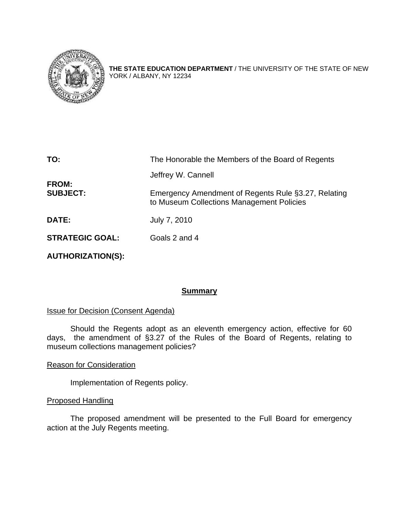

**THE STATE EDUCATION DEPARTMENT** / THE UNIVERSITY OF THE STATE OF NEW YORK / ALBANY, NY 12234

| TO:                      | The Honorable the Members of the Board of Regents                                                |
|--------------------------|--------------------------------------------------------------------------------------------------|
|                          | Jeffrey W. Cannell                                                                               |
| FROM:<br><b>SUBJECT:</b> | Emergency Amendment of Regents Rule §3.27, Relating<br>to Museum Collections Management Policies |
| <b>DATE:</b>             | July 7, 2010                                                                                     |
| <b>STRATEGIC GOAL:</b>   | Goals 2 and 4                                                                                    |
|                          |                                                                                                  |

**AUTHORIZATION(S):** 

#### **Summary**

#### **Issue for Decision (Consent Agenda)**

 Should the Regents adopt as an eleventh emergency action, effective for 60 days, the amendment of §3.27 of the Rules of the Board of Regents, relating to museum collections management policies?

#### Reason for Consideration

Implementation of Regents policy.

#### Proposed Handling

The proposed amendment will be presented to the Full Board for emergency action at the July Regents meeting.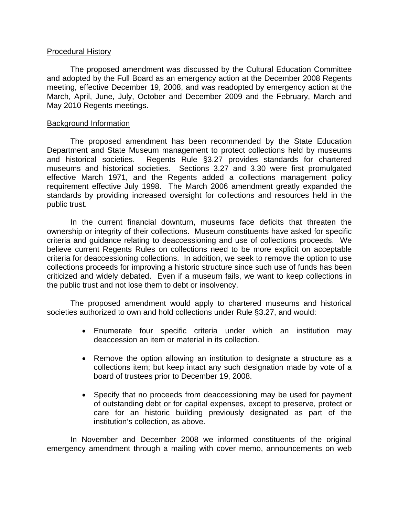#### Procedural History

The proposed amendment was discussed by the Cultural Education Committee and adopted by the Full Board as an emergency action at the December 2008 Regents meeting, effective December 19, 2008, and was readopted by emergency action at the March, April, June, July, October and December 2009 and the February, March and May 2010 Regents meetings.

#### Background Information

The proposed amendment has been recommended by the State Education Department and State Museum management to protect collections held by museums and historical societies. Regents Rule §3.27 provides standards for chartered museums and historical societies. Sections 3.27 and 3.30 were first promulgated effective March 1971, and the Regents added a collections management policy requirement effective July 1998. The March 2006 amendment greatly expanded the standards by providing increased oversight for collections and resources held in the public trust.

In the current financial downturn, museums face deficits that threaten the ownership or integrity of their collections. Museum constituents have asked for specific criteria and guidance relating to deaccessioning and use of collections proceeds. We believe current Regents Rules on collections need to be more explicit on acceptable criteria for deaccessioning collections. In addition, we seek to remove the option to use collections proceeds for improving a historic structure since such use of funds has been criticized and widely debated. Even if a museum fails, we want to keep collections in the public trust and not lose them to debt or insolvency.

The proposed amendment would apply to chartered museums and historical societies authorized to own and hold collections under Rule §3.27, and would:

- Enumerate four specific criteria under which an institution may deaccession an item or material in its collection.
- Remove the option allowing an institution to designate a structure as a collections item; but keep intact any such designation made by vote of a board of trustees prior to December 19, 2008.
- Specify that no proceeds from deaccessioning may be used for payment of outstanding debt or for capital expenses, except to preserve, protect or care for an historic building previously designated as part of the institution's collection, as above.

In November and December 2008 we informed constituents of the original emergency amendment through a mailing with cover memo, announcements on web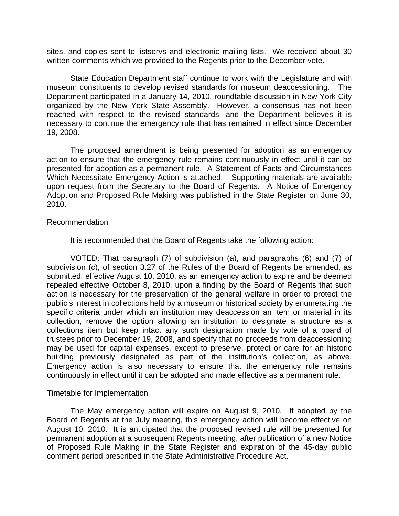sites, and copies sent to listservs and electronic mailing lists. We received about 30 written comments which we provided to the Regents prior to the December vote.

 State Education Department staff continue to work with the Legislature and with museum constituents to develop revised standards for museum deaccessioning. The Department participated in a January 14, 2010, roundtable discussion in New York City organized by the New York State Assembly. However, a consensus has not been reached with respect to the revised standards, and the Department believes it is necessary to continue the emergency rule that has remained in effect since December 19, 2008.

The proposed amendment is being presented for adoption as an emergency action to ensure that the emergency rule remains continuously in effect until it can be presented for adoption as a permanent rule. A Statement of Facts and Circumstances Which Necessitate Emergency Action is attached. Supporting materials are available upon request from the Secretary to the Board of Regents. A Notice of Emergency Adoption and Proposed Rule Making was published in the State Register on June 30, 2010.

#### Recommendation

It is recommended that the Board of Regents take the following action:

 VOTED: That paragraph (7) of subdivision (a), and paragraphs (6) and (7) of subdivision (c), of section 3.27 of the Rules of the Board of Regents be amended, as submitted, effective August 10, 2010, as an emergency action to expire and be deemed repealed effective October 8, 2010, upon a finding by the Board of Regents that such action is necessary for the preservation of the general welfare in order to protect the public's interest in collections held by a museum or historical society by enumerating the specific criteria under which an institution may deaccession an item or material in its collection, remove the option allowing an institution to designate a structure as a collections item but keep intact any such designation made by vote of a board of trustees prior to December 19, 2008, and specify that no proceeds from deaccessioning may be used for capital expenses, except to preserve, protect or care for an historic building previously designated as part of the institution's collection, as above. Emergency action is also necessary to ensure that the emergency rule remains continuously in effect until it can be adopted and made effective as a permanent rule.

#### Timetable for Implementation

The May emergency action will expire on August 9, 2010. If adopted by the Board of Regents at the July meeting, this emergency action will become effective on August 10, 2010. It is anticipated that the proposed revised rule will be presented for permanent adoption at a subsequent Regents meeting, after publication of a new Notice of Proposed Rule Making in the State Register and expiration of the 45-day public comment period prescribed in the State Administrative Procedure Act.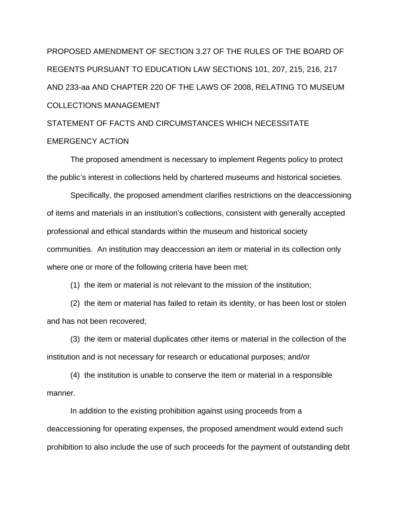# PROPOSED AMENDMENT OF SECTION 3.27 OF THE RULES OF THE BOARD OF REGENTS PURSUANT TO EDUCATION LAW SECTIONS 101, 207, 215, 216, 217 AND 233-aa AND CHAPTER 220 OF THE LAWS OF 2008, RELATING TO MUSEUM COLLECTIONS MANAGEMENT

## STATEMENT OF FACTS AND CIRCUMSTANCES WHICH NECESSITATE EMERGENCY ACTION

The proposed amendment is necessary to implement Regents policy to protect the public's interest in collections held by chartered museums and historical societies.

 Specifically, the proposed amendment clarifies restrictions on the deaccessioning of items and materials in an institution's collections, consistent with generally accepted professional and ethical standards within the museum and historical society communities. An institution may deaccession an item or material in its collection only where one or more of the following criteria have been met:

(1) the item or material is not relevant to the mission of the institution;

 (2) the item or material has failed to retain its identity, or has been lost or stolen and has not been recovered;

 (3) the item or material duplicates other items or material in the collection of the institution and is not necessary for research or educational purposes; and/or

 (4) the institution is unable to conserve the item or material in a responsible manner.

In addition to the existing prohibition against using proceeds from a deaccessioning for operating expenses, the proposed amendment would extend such prohibition to also include the use of such proceeds for the payment of outstanding debt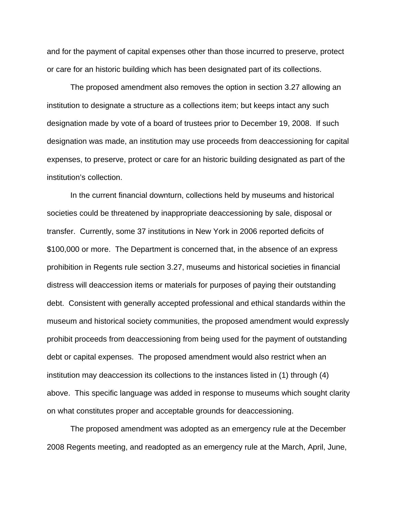and for the payment of capital expenses other than those incurred to preserve, protect or care for an historic building which has been designated part of its collections.

 The proposed amendment also removes the option in section 3.27 allowing an institution to designate a structure as a collections item; but keeps intact any such designation made by vote of a board of trustees prior to December 19, 2008. If such designation was made, an institution may use proceeds from deaccessioning for capital expenses, to preserve, protect or care for an historic building designated as part of the institution's collection.

 In the current financial downturn, collections held by museums and historical societies could be threatened by inappropriate deaccessioning by sale, disposal or transfer. Currently, some 37 institutions in New York in 2006 reported deficits of \$100,000 or more. The Department is concerned that, in the absence of an express prohibition in Regents rule section 3.27, museums and historical societies in financial distress will deaccession items or materials for purposes of paying their outstanding debt. Consistent with generally accepted professional and ethical standards within the museum and historical society communities, the proposed amendment would expressly prohibit proceeds from deaccessioning from being used for the payment of outstanding debt or capital expenses. The proposed amendment would also restrict when an institution may deaccession its collections to the instances listed in (1) through (4) above. This specific language was added in response to museums which sought clarity on what constitutes proper and acceptable grounds for deaccessioning.

 The proposed amendment was adopted as an emergency rule at the December 2008 Regents meeting, and readopted as an emergency rule at the March, April, June,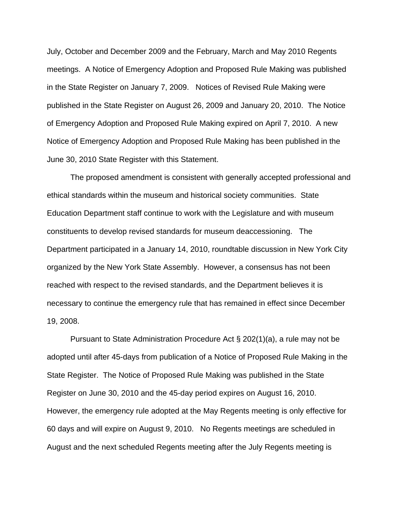July, October and December 2009 and the February, March and May 2010 Regents meetings. A Notice of Emergency Adoption and Proposed Rule Making was published in the State Register on January 7, 2009. Notices of Revised Rule Making were published in the State Register on August 26, 2009 and January 20, 2010. The Notice of Emergency Adoption and Proposed Rule Making expired on April 7, 2010. A new Notice of Emergency Adoption and Proposed Rule Making has been published in the June 30, 2010 State Register with this Statement.

 The proposed amendment is consistent with generally accepted professional and ethical standards within the museum and historical society communities. State Education Department staff continue to work with the Legislature and with museum constituents to develop revised standards for museum deaccessioning. The Department participated in a January 14, 2010, roundtable discussion in New York City organized by the New York State Assembly. However, a consensus has not been reached with respect to the revised standards, and the Department believes it is necessary to continue the emergency rule that has remained in effect since December 19, 2008.

Pursuant to State Administration Procedure Act § 202(1)(a), a rule may not be adopted until after 45-days from publication of a Notice of Proposed Rule Making in the State Register. The Notice of Proposed Rule Making was published in the State Register on June 30, 2010 and the 45-day period expires on August 16, 2010. However, the emergency rule adopted at the May Regents meeting is only effective for 60 days and will expire on August 9, 2010. No Regents meetings are scheduled in August and the next scheduled Regents meeting after the July Regents meeting is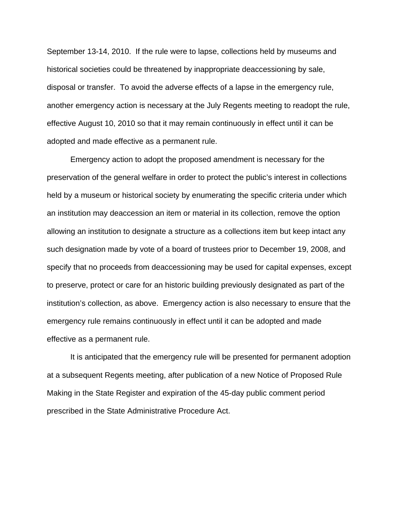September 13-14, 2010. If the rule were to lapse, collections held by museums and historical societies could be threatened by inappropriate deaccessioning by sale, disposal or transfer. To avoid the adverse effects of a lapse in the emergency rule, another emergency action is necessary at the July Regents meeting to readopt the rule, effective August 10, 2010 so that it may remain continuously in effect until it can be adopted and made effective as a permanent rule.

 Emergency action to adopt the proposed amendment is necessary for the preservation of the general welfare in order to protect the public's interest in collections held by a museum or historical society by enumerating the specific criteria under which an institution may deaccession an item or material in its collection, remove the option allowing an institution to designate a structure as a collections item but keep intact any such designation made by vote of a board of trustees prior to December 19, 2008, and specify that no proceeds from deaccessioning may be used for capital expenses, except to preserve, protect or care for an historic building previously designated as part of the institution's collection, as above. Emergency action is also necessary to ensure that the emergency rule remains continuously in effect until it can be adopted and made effective as a permanent rule.

It is anticipated that the emergency rule will be presented for permanent adoption at a subsequent Regents meeting, after publication of a new Notice of Proposed Rule Making in the State Register and expiration of the 45-day public comment period prescribed in the State Administrative Procedure Act.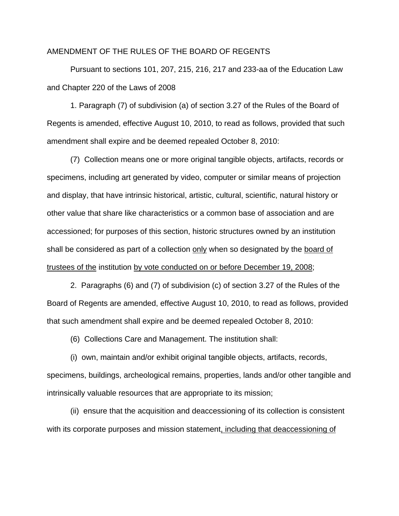#### AMENDMENT OF THE RULES OF THE BOARD OF REGENTS

Pursuant to sections 101, 207, 215, 216, 217 and 233-aa of the Education Law and Chapter 220 of the Laws of 2008

1. Paragraph (7) of subdivision (a) of section 3.27 of the Rules of the Board of Regents is amended, effective August 10, 2010, to read as follows, provided that such amendment shall expire and be deemed repealed October 8, 2010:

(7) Collection means one or more original tangible objects, artifacts, records or specimens, including art generated by video, computer or similar means of projection and display, that have intrinsic historical, artistic, cultural, scientific, natural history or other value that share like characteristics or a common base of association and are accessioned; for purposes of this section, historic structures owned by an institution shall be considered as part of a collection only when so designated by the board of trustees of the institution by vote conducted on or before December 19, 2008;

2. Paragraphs (6) and (7) of subdivision (c) of section 3.27 of the Rules of the Board of Regents are amended, effective August 10, 2010, to read as follows, provided that such amendment shall expire and be deemed repealed October 8, 2010:

(6) Collections Care and Management. The institution shall:

(i) own, maintain and/or exhibit original tangible objects, artifacts, records, specimens, buildings, archeological remains, properties, lands and/or other tangible and intrinsically valuable resources that are appropriate to its mission;

(ii) ensure that the acquisition and deaccessioning of its collection is consistent with its corporate purposes and mission statement, including that deaccessioning of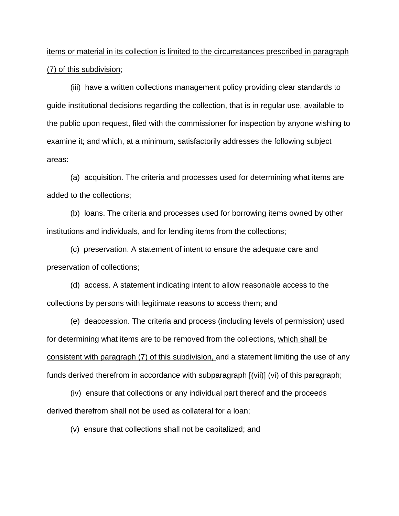### items or material in its collection is limited to the circumstances prescribed in paragraph (7) of this subdivision;

(iii) have a written collections management policy providing clear standards to guide institutional decisions regarding the collection, that is in regular use, available to the public upon request, filed with the commissioner for inspection by anyone wishing to examine it; and which, at a minimum, satisfactorily addresses the following subject areas:

(a) acquisition. The criteria and processes used for determining what items are added to the collections;

(b) loans. The criteria and processes used for borrowing items owned by other institutions and individuals, and for lending items from the collections;

(c) preservation. A statement of intent to ensure the adequate care and preservation of collections;

(d) access. A statement indicating intent to allow reasonable access to the collections by persons with legitimate reasons to access them; and

(e) deaccession. The criteria and process (including levels of permission) used for determining what items are to be removed from the collections, which shall be consistent with paragraph (7) of this subdivision, and a statement limiting the use of any funds derived therefrom in accordance with subparagraph  $[(vii)]$  ( $\underline{vi}$ ) of this paragraph;

(iv) ensure that collections or any individual part thereof and the proceeds derived therefrom shall not be used as collateral for a loan;

(v) ensure that collections shall not be capitalized; and